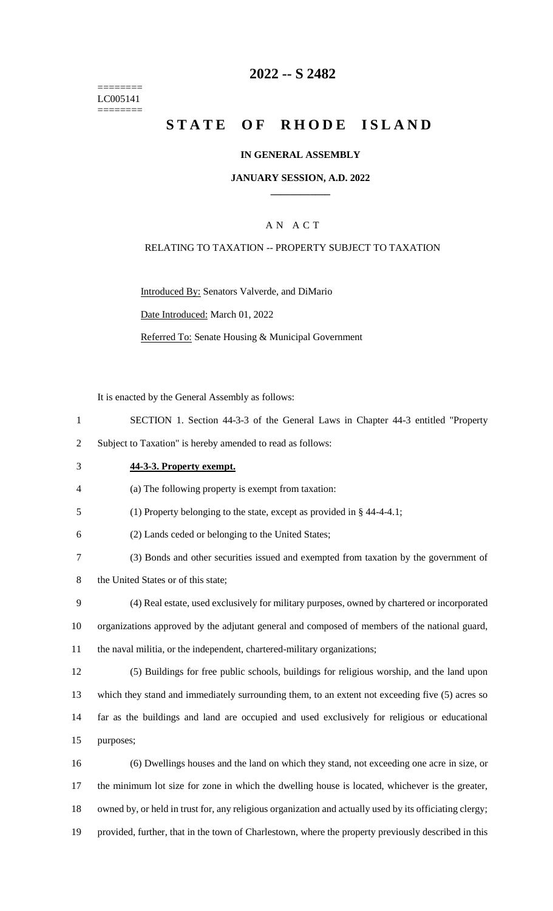======== LC005141 ========

## **2022 -- S 2482**

# **STATE OF RHODE ISLAND**

#### **IN GENERAL ASSEMBLY**

#### **JANUARY SESSION, A.D. 2022 \_\_\_\_\_\_\_\_\_\_\_\_**

### A N A C T

#### RELATING TO TAXATION -- PROPERTY SUBJECT TO TAXATION

Introduced By: Senators Valverde, and DiMario

Date Introduced: March 01, 2022

Referred To: Senate Housing & Municipal Government

It is enacted by the General Assembly as follows:

1 SECTION 1. Section 44-3-3 of the General Laws in Chapter 44-3 entitled "Property

2 Subject to Taxation" is hereby amended to read as follows:

### 3 **44-3-3. Property exempt.**

4 (a) The following property is exempt from taxation:

5 (1) Property belonging to the state, except as provided in § 44-4-4.1;

6 (2) Lands ceded or belonging to the United States;

7 (3) Bonds and other securities issued and exempted from taxation by the government of

8 the United States or of this state;

- 9 (4) Real estate, used exclusively for military purposes, owned by chartered or incorporated 10 organizations approved by the adjutant general and composed of members of the national guard, 11 the naval militia, or the independent, chartered-military organizations;
- 12 (5) Buildings for free public schools, buildings for religious worship, and the land upon 13 which they stand and immediately surrounding them, to an extent not exceeding five (5) acres so 14 far as the buildings and land are occupied and used exclusively for religious or educational 15 purposes;
- 16 (6) Dwellings houses and the land on which they stand, not exceeding one acre in size, or 17 the minimum lot size for zone in which the dwelling house is located, whichever is the greater, 18 owned by, or held in trust for, any religious organization and actually used by its officiating clergy; 19 provided, further, that in the town of Charlestown, where the property previously described in this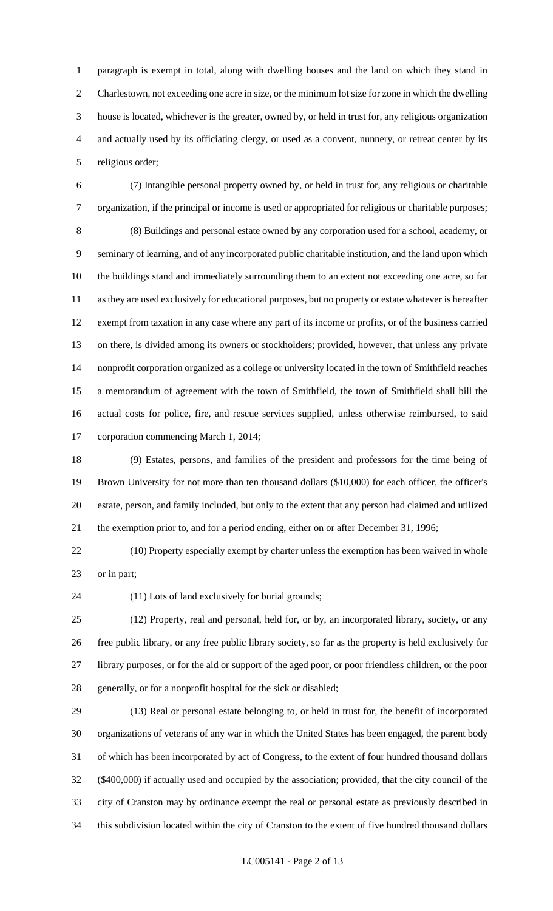paragraph is exempt in total, along with dwelling houses and the land on which they stand in Charlestown, not exceeding one acre in size, or the minimum lot size for zone in which the dwelling house is located, whichever is the greater, owned by, or held in trust for, any religious organization and actually used by its officiating clergy, or used as a convent, nunnery, or retreat center by its religious order;

 (7) Intangible personal property owned by, or held in trust for, any religious or charitable organization, if the principal or income is used or appropriated for religious or charitable purposes; (8) Buildings and personal estate owned by any corporation used for a school, academy, or seminary of learning, and of any incorporated public charitable institution, and the land upon which the buildings stand and immediately surrounding them to an extent not exceeding one acre, so far as they are used exclusively for educational purposes, but no property or estate whatever is hereafter exempt from taxation in any case where any part of its income or profits, or of the business carried on there, is divided among its owners or stockholders; provided, however, that unless any private nonprofit corporation organized as a college or university located in the town of Smithfield reaches a memorandum of agreement with the town of Smithfield, the town of Smithfield shall bill the actual costs for police, fire, and rescue services supplied, unless otherwise reimbursed, to said corporation commencing March 1, 2014;

 (9) Estates, persons, and families of the president and professors for the time being of Brown University for not more than ten thousand dollars (\$10,000) for each officer, the officer's estate, person, and family included, but only to the extent that any person had claimed and utilized the exemption prior to, and for a period ending, either on or after December 31, 1996;

 (10) Property especially exempt by charter unless the exemption has been waived in whole or in part;

(11) Lots of land exclusively for burial grounds;

 (12) Property, real and personal, held for, or by, an incorporated library, society, or any free public library, or any free public library society, so far as the property is held exclusively for library purposes, or for the aid or support of the aged poor, or poor friendless children, or the poor generally, or for a nonprofit hospital for the sick or disabled;

 (13) Real or personal estate belonging to, or held in trust for, the benefit of incorporated organizations of veterans of any war in which the United States has been engaged, the parent body of which has been incorporated by act of Congress, to the extent of four hundred thousand dollars (\$400,000) if actually used and occupied by the association; provided, that the city council of the city of Cranston may by ordinance exempt the real or personal estate as previously described in this subdivision located within the city of Cranston to the extent of five hundred thousand dollars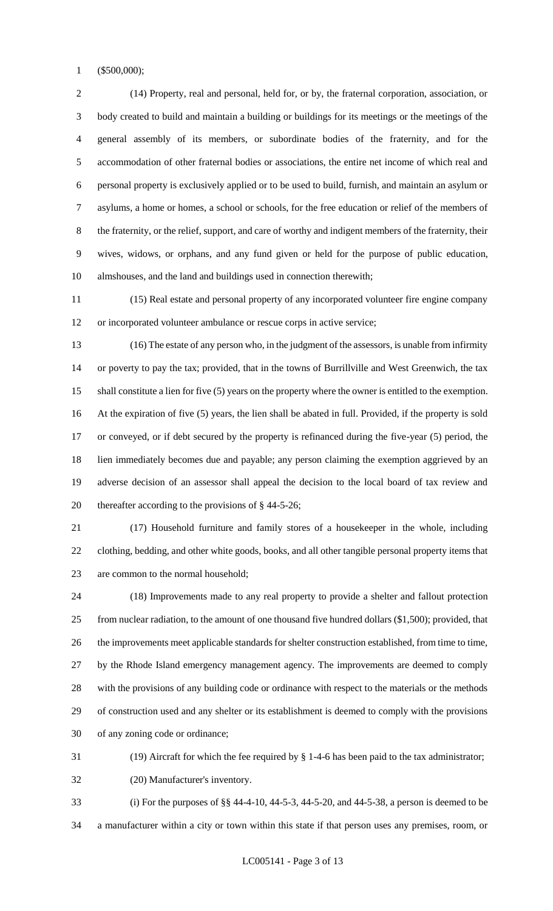(\$500,000);

 (14) Property, real and personal, held for, or by, the fraternal corporation, association, or body created to build and maintain a building or buildings for its meetings or the meetings of the general assembly of its members, or subordinate bodies of the fraternity, and for the accommodation of other fraternal bodies or associations, the entire net income of which real and personal property is exclusively applied or to be used to build, furnish, and maintain an asylum or asylums, a home or homes, a school or schools, for the free education or relief of the members of the fraternity, or the relief, support, and care of worthy and indigent members of the fraternity, their wives, widows, or orphans, and any fund given or held for the purpose of public education, almshouses, and the land and buildings used in connection therewith;

 (15) Real estate and personal property of any incorporated volunteer fire engine company or incorporated volunteer ambulance or rescue corps in active service;

 (16) The estate of any person who, in the judgment of the assessors, is unable from infirmity or poverty to pay the tax; provided, that in the towns of Burrillville and West Greenwich, the tax shall constitute a lien for five (5) years on the property where the owner is entitled to the exemption. At the expiration of five (5) years, the lien shall be abated in full. Provided, if the property is sold or conveyed, or if debt secured by the property is refinanced during the five-year (5) period, the lien immediately becomes due and payable; any person claiming the exemption aggrieved by an adverse decision of an assessor shall appeal the decision to the local board of tax review and thereafter according to the provisions of § 44-5-26;

 (17) Household furniture and family stores of a housekeeper in the whole, including clothing, bedding, and other white goods, books, and all other tangible personal property items that are common to the normal household;

 (18) Improvements made to any real property to provide a shelter and fallout protection from nuclear radiation, to the amount of one thousand five hundred dollars (\$1,500); provided, that the improvements meet applicable standards for shelter construction established, from time to time, by the Rhode Island emergency management agency. The improvements are deemed to comply with the provisions of any building code or ordinance with respect to the materials or the methods of construction used and any shelter or its establishment is deemed to comply with the provisions of any zoning code or ordinance;

(19) Aircraft for which the fee required by § 1-4-6 has been paid to the tax administrator;

(20) Manufacturer's inventory.

 (i) For the purposes of §§ 44-4-10, 44-5-3, 44-5-20, and 44-5-38, a person is deemed to be a manufacturer within a city or town within this state if that person uses any premises, room, or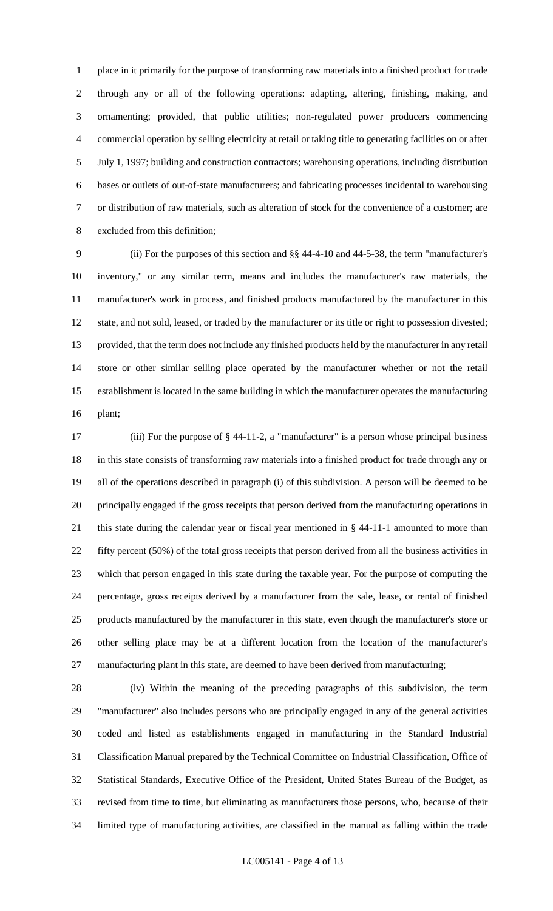place in it primarily for the purpose of transforming raw materials into a finished product for trade through any or all of the following operations: adapting, altering, finishing, making, and ornamenting; provided, that public utilities; non-regulated power producers commencing commercial operation by selling electricity at retail or taking title to generating facilities on or after July 1, 1997; building and construction contractors; warehousing operations, including distribution bases or outlets of out-of-state manufacturers; and fabricating processes incidental to warehousing or distribution of raw materials, such as alteration of stock for the convenience of a customer; are excluded from this definition;

 (ii) For the purposes of this section and §§ 44-4-10 and 44-5-38, the term "manufacturer's inventory," or any similar term, means and includes the manufacturer's raw materials, the manufacturer's work in process, and finished products manufactured by the manufacturer in this state, and not sold, leased, or traded by the manufacturer or its title or right to possession divested; provided, that the term does not include any finished products held by the manufacturer in any retail store or other similar selling place operated by the manufacturer whether or not the retail establishment is located in the same building in which the manufacturer operates the manufacturing plant;

 (iii) For the purpose of § 44-11-2, a "manufacturer" is a person whose principal business in this state consists of transforming raw materials into a finished product for trade through any or all of the operations described in paragraph (i) of this subdivision. A person will be deemed to be principally engaged if the gross receipts that person derived from the manufacturing operations in this state during the calendar year or fiscal year mentioned in § 44-11-1 amounted to more than fifty percent (50%) of the total gross receipts that person derived from all the business activities in which that person engaged in this state during the taxable year. For the purpose of computing the percentage, gross receipts derived by a manufacturer from the sale, lease, or rental of finished products manufactured by the manufacturer in this state, even though the manufacturer's store or other selling place may be at a different location from the location of the manufacturer's manufacturing plant in this state, are deemed to have been derived from manufacturing;

 (iv) Within the meaning of the preceding paragraphs of this subdivision, the term "manufacturer" also includes persons who are principally engaged in any of the general activities coded and listed as establishments engaged in manufacturing in the Standard Industrial Classification Manual prepared by the Technical Committee on Industrial Classification, Office of Statistical Standards, Executive Office of the President, United States Bureau of the Budget, as revised from time to time, but eliminating as manufacturers those persons, who, because of their limited type of manufacturing activities, are classified in the manual as falling within the trade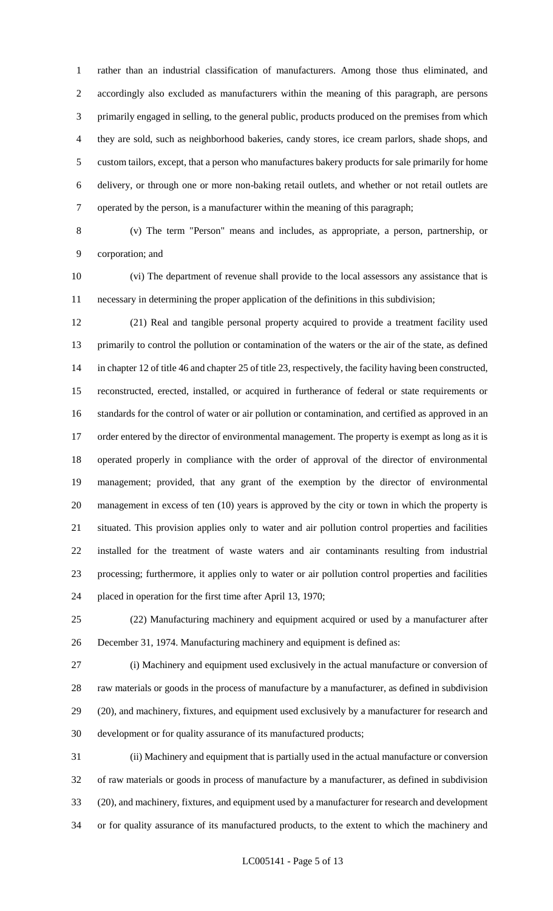rather than an industrial classification of manufacturers. Among those thus eliminated, and accordingly also excluded as manufacturers within the meaning of this paragraph, are persons primarily engaged in selling, to the general public, products produced on the premises from which they are sold, such as neighborhood bakeries, candy stores, ice cream parlors, shade shops, and custom tailors, except, that a person who manufactures bakery products for sale primarily for home delivery, or through one or more non-baking retail outlets, and whether or not retail outlets are operated by the person, is a manufacturer within the meaning of this paragraph;

 (v) The term "Person" means and includes, as appropriate, a person, partnership, or corporation; and

 (vi) The department of revenue shall provide to the local assessors any assistance that is necessary in determining the proper application of the definitions in this subdivision;

 (21) Real and tangible personal property acquired to provide a treatment facility used primarily to control the pollution or contamination of the waters or the air of the state, as defined in chapter 12 of title 46 and chapter 25 of title 23, respectively, the facility having been constructed, reconstructed, erected, installed, or acquired in furtherance of federal or state requirements or standards for the control of water or air pollution or contamination, and certified as approved in an 17 order entered by the director of environmental management. The property is exempt as long as it is operated properly in compliance with the order of approval of the director of environmental management; provided, that any grant of the exemption by the director of environmental management in excess of ten (10) years is approved by the city or town in which the property is situated. This provision applies only to water and air pollution control properties and facilities installed for the treatment of waste waters and air contaminants resulting from industrial processing; furthermore, it applies only to water or air pollution control properties and facilities placed in operation for the first time after April 13, 1970;

 (22) Manufacturing machinery and equipment acquired or used by a manufacturer after December 31, 1974. Manufacturing machinery and equipment is defined as:

 (i) Machinery and equipment used exclusively in the actual manufacture or conversion of raw materials or goods in the process of manufacture by a manufacturer, as defined in subdivision (20), and machinery, fixtures, and equipment used exclusively by a manufacturer for research and development or for quality assurance of its manufactured products;

 (ii) Machinery and equipment that is partially used in the actual manufacture or conversion of raw materials or goods in process of manufacture by a manufacturer, as defined in subdivision (20), and machinery, fixtures, and equipment used by a manufacturer for research and development or for quality assurance of its manufactured products, to the extent to which the machinery and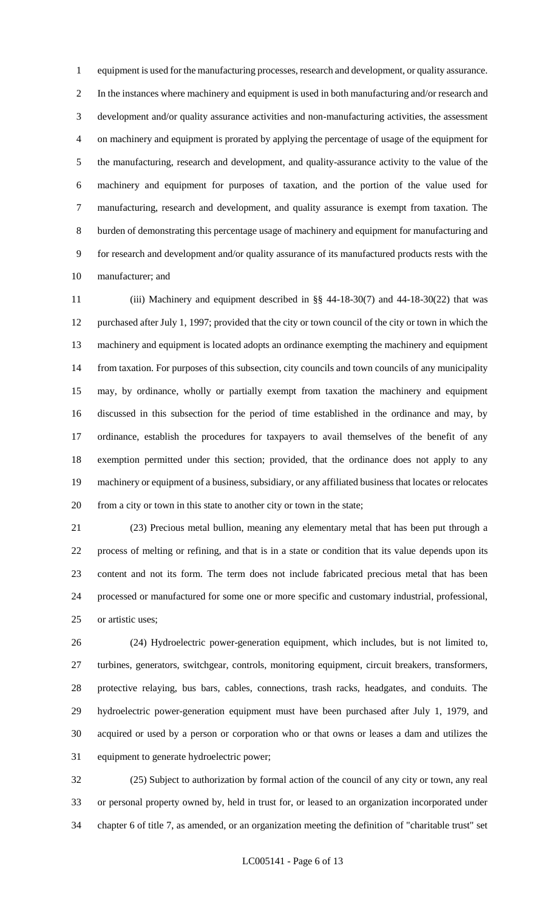equipment is used for the manufacturing processes, research and development, or quality assurance. In the instances where machinery and equipment is used in both manufacturing and/or research and development and/or quality assurance activities and non-manufacturing activities, the assessment on machinery and equipment is prorated by applying the percentage of usage of the equipment for the manufacturing, research and development, and quality-assurance activity to the value of the machinery and equipment for purposes of taxation, and the portion of the value used for manufacturing, research and development, and quality assurance is exempt from taxation. The burden of demonstrating this percentage usage of machinery and equipment for manufacturing and for research and development and/or quality assurance of its manufactured products rests with the manufacturer; and

 (iii) Machinery and equipment described in §§ 44-18-30(7) and 44-18-30(22) that was purchased after July 1, 1997; provided that the city or town council of the city or town in which the machinery and equipment is located adopts an ordinance exempting the machinery and equipment from taxation. For purposes of this subsection, city councils and town councils of any municipality may, by ordinance, wholly or partially exempt from taxation the machinery and equipment discussed in this subsection for the period of time established in the ordinance and may, by ordinance, establish the procedures for taxpayers to avail themselves of the benefit of any exemption permitted under this section; provided, that the ordinance does not apply to any machinery or equipment of a business, subsidiary, or any affiliated business that locates or relocates from a city or town in this state to another city or town in the state;

 (23) Precious metal bullion, meaning any elementary metal that has been put through a process of melting or refining, and that is in a state or condition that its value depends upon its content and not its form. The term does not include fabricated precious metal that has been processed or manufactured for some one or more specific and customary industrial, professional, or artistic uses;

 (24) Hydroelectric power-generation equipment, which includes, but is not limited to, turbines, generators, switchgear, controls, monitoring equipment, circuit breakers, transformers, protective relaying, bus bars, cables, connections, trash racks, headgates, and conduits. The hydroelectric power-generation equipment must have been purchased after July 1, 1979, and acquired or used by a person or corporation who or that owns or leases a dam and utilizes the equipment to generate hydroelectric power;

 (25) Subject to authorization by formal action of the council of any city or town, any real or personal property owned by, held in trust for, or leased to an organization incorporated under chapter 6 of title 7, as amended, or an organization meeting the definition of "charitable trust" set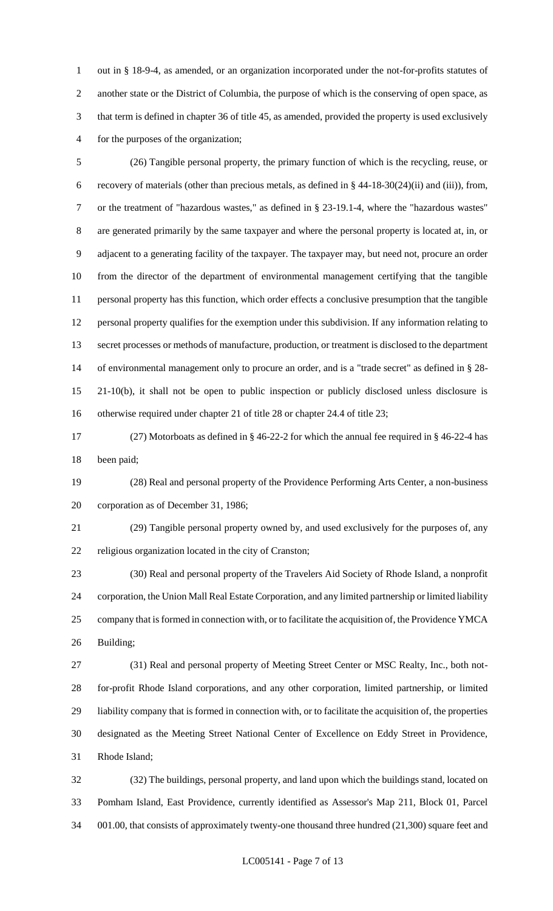out in § 18-9-4, as amended, or an organization incorporated under the not-for-profits statutes of another state or the District of Columbia, the purpose of which is the conserving of open space, as that term is defined in chapter 36 of title 45, as amended, provided the property is used exclusively for the purposes of the organization;

 (26) Tangible personal property, the primary function of which is the recycling, reuse, or recovery of materials (other than precious metals, as defined in § 44-18-30(24)(ii) and (iii)), from, or the treatment of "hazardous wastes," as defined in § 23-19.1-4, where the "hazardous wastes" are generated primarily by the same taxpayer and where the personal property is located at, in, or adjacent to a generating facility of the taxpayer. The taxpayer may, but need not, procure an order from the director of the department of environmental management certifying that the tangible personal property has this function, which order effects a conclusive presumption that the tangible personal property qualifies for the exemption under this subdivision. If any information relating to secret processes or methods of manufacture, production, or treatment is disclosed to the department of environmental management only to procure an order, and is a "trade secret" as defined in § 28- 21-10(b), it shall not be open to public inspection or publicly disclosed unless disclosure is otherwise required under chapter 21 of title 28 or chapter 24.4 of title 23;

 (27) Motorboats as defined in § 46-22-2 for which the annual fee required in § 46-22-4 has been paid;

 (28) Real and personal property of the Providence Performing Arts Center, a non-business corporation as of December 31, 1986;

 (29) Tangible personal property owned by, and used exclusively for the purposes of, any religious organization located in the city of Cranston;

 (30) Real and personal property of the Travelers Aid Society of Rhode Island, a nonprofit corporation, the Union Mall Real Estate Corporation, and any limited partnership or limited liability company that is formed in connection with, or to facilitate the acquisition of, the Providence YMCA Building;

 (31) Real and personal property of Meeting Street Center or MSC Realty, Inc., both not- for-profit Rhode Island corporations, and any other corporation, limited partnership, or limited liability company that is formed in connection with, or to facilitate the acquisition of, the properties designated as the Meeting Street National Center of Excellence on Eddy Street in Providence, Rhode Island;

 (32) The buildings, personal property, and land upon which the buildings stand, located on Pomham Island, East Providence, currently identified as Assessor's Map 211, Block 01, Parcel 001.00, that consists of approximately twenty-one thousand three hundred (21,300) square feet and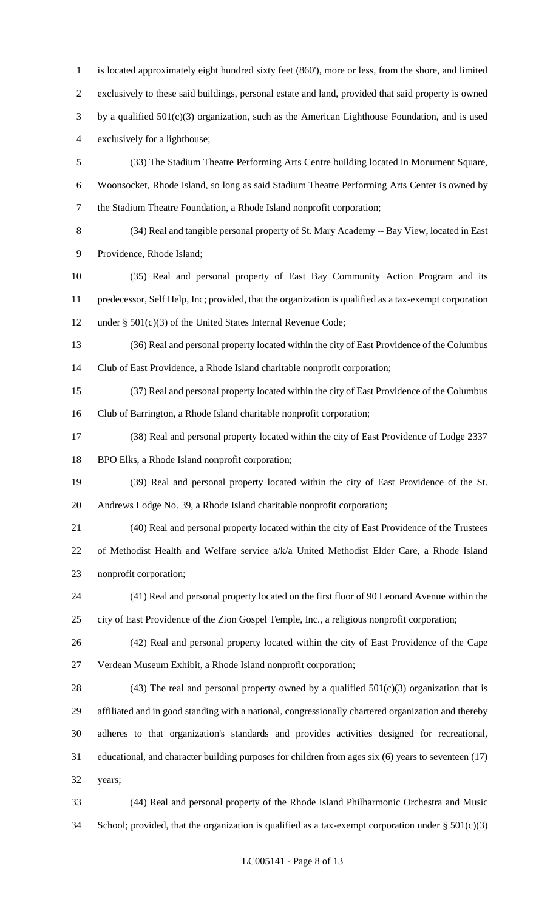is located approximately eight hundred sixty feet (860'), more or less, from the shore, and limited exclusively to these said buildings, personal estate and land, provided that said property is owned by a qualified 501(c)(3) organization, such as the American Lighthouse Foundation, and is used exclusively for a lighthouse; (33) The Stadium Theatre Performing Arts Centre building located in Monument Square, Woonsocket, Rhode Island, so long as said Stadium Theatre Performing Arts Center is owned by the Stadium Theatre Foundation, a Rhode Island nonprofit corporation;

 (34) Real and tangible personal property of St. Mary Academy -- Bay View, located in East Providence, Rhode Island;

 (35) Real and personal property of East Bay Community Action Program and its predecessor, Self Help, Inc; provided, that the organization is qualified as a tax-exempt corporation under § 501(c)(3) of the United States Internal Revenue Code;

 (36) Real and personal property located within the city of East Providence of the Columbus Club of East Providence, a Rhode Island charitable nonprofit corporation;

 (37) Real and personal property located within the city of East Providence of the Columbus Club of Barrington, a Rhode Island charitable nonprofit corporation;

 (38) Real and personal property located within the city of East Providence of Lodge 2337 BPO Elks, a Rhode Island nonprofit corporation;

 (39) Real and personal property located within the city of East Providence of the St. Andrews Lodge No. 39, a Rhode Island charitable nonprofit corporation;

 (40) Real and personal property located within the city of East Providence of the Trustees of Methodist Health and Welfare service a/k/a United Methodist Elder Care, a Rhode Island nonprofit corporation;

 (41) Real and personal property located on the first floor of 90 Leonard Avenue within the city of East Providence of the Zion Gospel Temple, Inc., a religious nonprofit corporation;

 (42) Real and personal property located within the city of East Providence of the Cape Verdean Museum Exhibit, a Rhode Island nonprofit corporation;

28 (43) The real and personal property owned by a qualified  $501(c)(3)$  organization that is affiliated and in good standing with a national, congressionally chartered organization and thereby adheres to that organization's standards and provides activities designed for recreational, educational, and character building purposes for children from ages six (6) years to seventeen (17) years;

 (44) Real and personal property of the Rhode Island Philharmonic Orchestra and Music 34 School; provided, that the organization is qualified as a tax-exempt corporation under  $\S 501(c)(3)$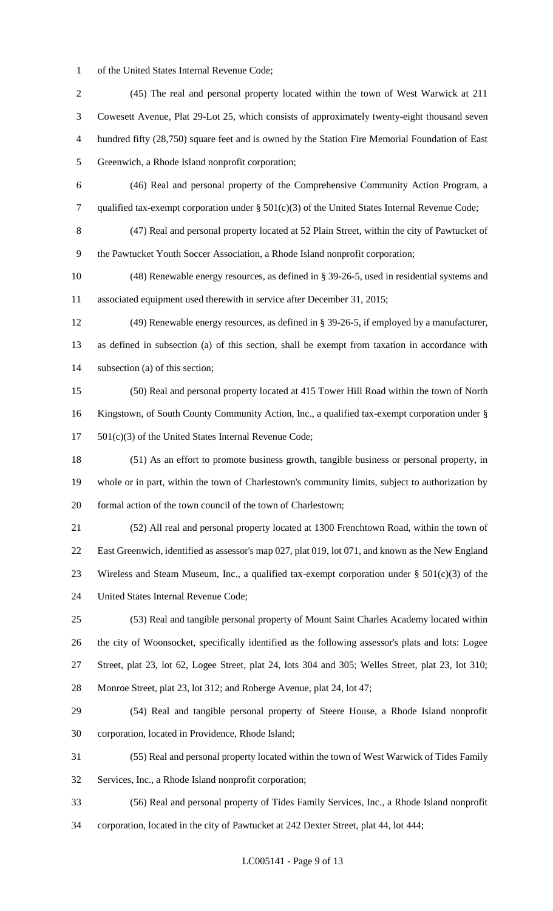of the United States Internal Revenue Code;

 (45) The real and personal property located within the town of West Warwick at 211 Cowesett Avenue, Plat 29-Lot 25, which consists of approximately twenty-eight thousand seven hundred fifty (28,750) square feet and is owned by the Station Fire Memorial Foundation of East Greenwich, a Rhode Island nonprofit corporation; (46) Real and personal property of the Comprehensive Community Action Program, a qualified tax-exempt corporation under § 501(c)(3) of the United States Internal Revenue Code; (47) Real and personal property located at 52 Plain Street, within the city of Pawtucket of the Pawtucket Youth Soccer Association, a Rhode Island nonprofit corporation; (48) Renewable energy resources, as defined in § 39-26-5, used in residential systems and associated equipment used therewith in service after December 31, 2015; (49) Renewable energy resources, as defined in § 39-26-5, if employed by a manufacturer, as defined in subsection (a) of this section, shall be exempt from taxation in accordance with subsection (a) of this section; (50) Real and personal property located at 415 Tower Hill Road within the town of North Kingstown, of South County Community Action, Inc., a qualified tax-exempt corporation under § 501(c)(3) of the United States Internal Revenue Code; (51) As an effort to promote business growth, tangible business or personal property, in whole or in part, within the town of Charlestown's community limits, subject to authorization by formal action of the town council of the town of Charlestown; (52) All real and personal property located at 1300 Frenchtown Road, within the town of East Greenwich, identified as assessor's map 027, plat 019, lot 071, and known as the New England 23 Wireless and Steam Museum, Inc., a qualified tax-exempt corporation under  $\S 501(c)(3)$  of the United States Internal Revenue Code; (53) Real and tangible personal property of Mount Saint Charles Academy located within the city of Woonsocket, specifically identified as the following assessor's plats and lots: Logee Street, plat 23, lot 62, Logee Street, plat 24, lots 304 and 305; Welles Street, plat 23, lot 310; Monroe Street, plat 23, lot 312; and Roberge Avenue, plat 24, lot 47; (54) Real and tangible personal property of Steere House, a Rhode Island nonprofit corporation, located in Providence, Rhode Island; (55) Real and personal property located within the town of West Warwick of Tides Family Services, Inc., a Rhode Island nonprofit corporation; (56) Real and personal property of Tides Family Services, Inc., a Rhode Island nonprofit corporation, located in the city of Pawtucket at 242 Dexter Street, plat 44, lot 444;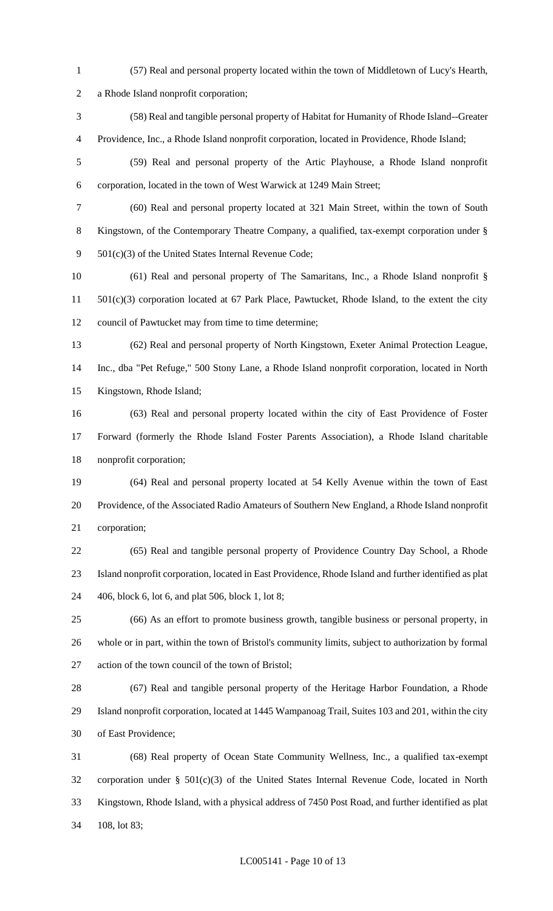- (57) Real and personal property located within the town of Middletown of Lucy's Hearth, a Rhode Island nonprofit corporation; (58) Real and tangible personal property of Habitat for Humanity of Rhode Island--Greater Providence, Inc., a Rhode Island nonprofit corporation, located in Providence, Rhode Island; (59) Real and personal property of the Artic Playhouse, a Rhode Island nonprofit corporation, located in the town of West Warwick at 1249 Main Street; (60) Real and personal property located at 321 Main Street, within the town of South Kingstown, of the Contemporary Theatre Company, a qualified, tax-exempt corporation under § 501(c)(3) of the United States Internal Revenue Code; (61) Real and personal property of The Samaritans, Inc., a Rhode Island nonprofit § 501(c)(3) corporation located at 67 Park Place, Pawtucket, Rhode Island, to the extent the city council of Pawtucket may from time to time determine; (62) Real and personal property of North Kingstown, Exeter Animal Protection League, Inc., dba "Pet Refuge," 500 Stony Lane, a Rhode Island nonprofit corporation, located in North Kingstown, Rhode Island; (63) Real and personal property located within the city of East Providence of Foster Forward (formerly the Rhode Island Foster Parents Association), a Rhode Island charitable nonprofit corporation; (64) Real and personal property located at 54 Kelly Avenue within the town of East Providence, of the Associated Radio Amateurs of Southern New England, a Rhode Island nonprofit corporation; (65) Real and tangible personal property of Providence Country Day School, a Rhode Island nonprofit corporation, located in East Providence, Rhode Island and further identified as plat 406, block 6, lot 6, and plat 506, block 1, lot 8; (66) As an effort to promote business growth, tangible business or personal property, in whole or in part, within the town of Bristol's community limits, subject to authorization by formal action of the town council of the town of Bristol; (67) Real and tangible personal property of the Heritage Harbor Foundation, a Rhode Island nonprofit corporation, located at 1445 Wampanoag Trail, Suites 103 and 201, within the city of East Providence; (68) Real property of Ocean State Community Wellness, Inc., a qualified tax-exempt corporation under § 501(c)(3) of the United States Internal Revenue Code, located in North Kingstown, Rhode Island, with a physical address of 7450 Post Road, and further identified as plat
- 108, lot 83;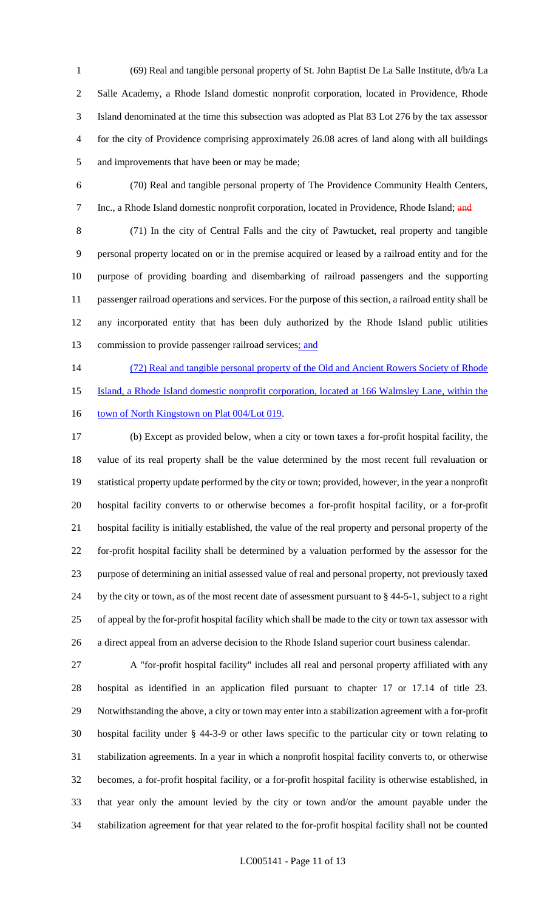(69) Real and tangible personal property of St. John Baptist De La Salle Institute, d/b/a La Salle Academy, a Rhode Island domestic nonprofit corporation, located in Providence, Rhode Island denominated at the time this subsection was adopted as Plat 83 Lot 276 by the tax assessor for the city of Providence comprising approximately 26.08 acres of land along with all buildings and improvements that have been or may be made;

 (70) Real and tangible personal property of The Providence Community Health Centers, 7 Inc., a Rhode Island domestic nonprofit corporation, located in Providence, Rhode Island; and

 (71) In the city of Central Falls and the city of Pawtucket, real property and tangible personal property located on or in the premise acquired or leased by a railroad entity and for the purpose of providing boarding and disembarking of railroad passengers and the supporting passenger railroad operations and services. For the purpose of this section, a railroad entity shall be any incorporated entity that has been duly authorized by the Rhode Island public utilities 13 commission to provide passenger railroad services; and

14 (72) Real and tangible personal property of the Old and Ancient Rowers Society of Rhode

Island, a Rhode Island domestic nonprofit corporation, located at 166 Walmsley Lane, within the

16 town of North Kingstown on Plat 004/Lot 019.

 (b) Except as provided below, when a city or town taxes a for-profit hospital facility, the value of its real property shall be the value determined by the most recent full revaluation or statistical property update performed by the city or town; provided, however, in the year a nonprofit hospital facility converts to or otherwise becomes a for-profit hospital facility, or a for-profit hospital facility is initially established, the value of the real property and personal property of the for-profit hospital facility shall be determined by a valuation performed by the assessor for the purpose of determining an initial assessed value of real and personal property, not previously taxed by the city or town, as of the most recent date of assessment pursuant to § 44-5-1, subject to a right of appeal by the for-profit hospital facility which shall be made to the city or town tax assessor with a direct appeal from an adverse decision to the Rhode Island superior court business calendar.

 A "for-profit hospital facility" includes all real and personal property affiliated with any hospital as identified in an application filed pursuant to chapter 17 or 17.14 of title 23. Notwithstanding the above, a city or town may enter into a stabilization agreement with a for-profit hospital facility under § 44-3-9 or other laws specific to the particular city or town relating to stabilization agreements. In a year in which a nonprofit hospital facility converts to, or otherwise becomes, a for-profit hospital facility, or a for-profit hospital facility is otherwise established, in that year only the amount levied by the city or town and/or the amount payable under the stabilization agreement for that year related to the for-profit hospital facility shall not be counted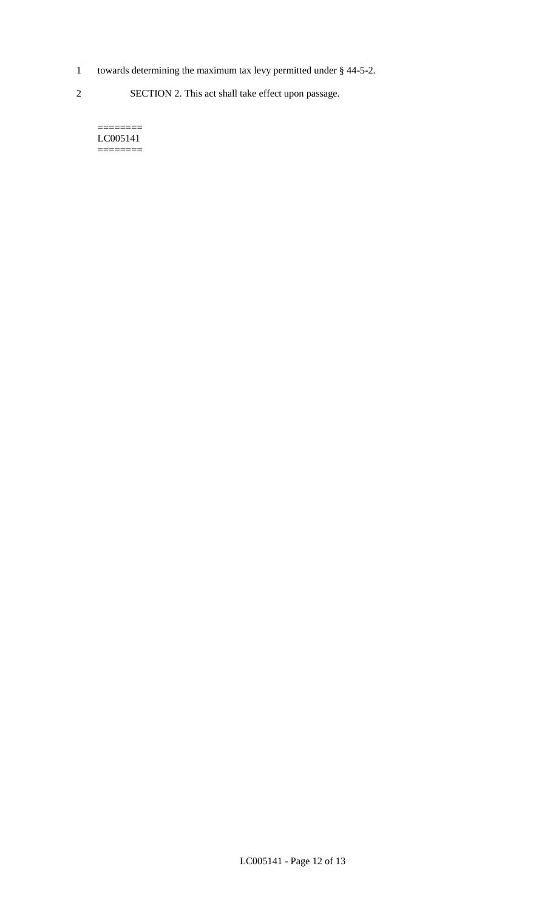- 1 towards determining the maximum tax levy permitted under § 44-5-2.
- 2 SECTION 2. This act shall take effect upon passage.

======== LC005141  $=$